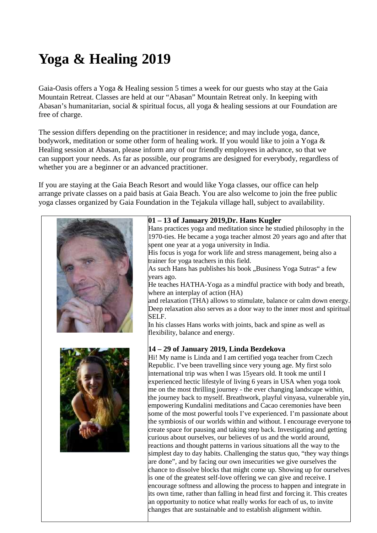# **Yoga & Healing 2019**

Gaia-Oasis offers a Yoga & Healing session 5 times a week for our guests who stay at the Gaia Mountain Retreat. Classes are held at our "Abasan" Mountain Retreat only. In keeping with Abasan's humanitarian, social & spiritual focus, all yoga & healing sessions at our Foundation are free of charge.

The session differs depending on the practitioner in residence; and may include yoga, dance, bodywork, meditation or some other form of healing work. If you would like to join a Yoga & Healing session at Abasan, please inform any of our friendly employees in advance, so that we can support your needs. As far as possible, our programs are designed for everybody, regardless of whether you are a beginner or an advanced practitioner.

If you are staying at the Gaia Beach Resort and would like Yoga classes, our office can help arrange private classes on a paid basis at Gaia Beach. You are also welcome to join the free public yoga classes organized by Gaia Foundation in the Tejakula village hall, subject to availability.

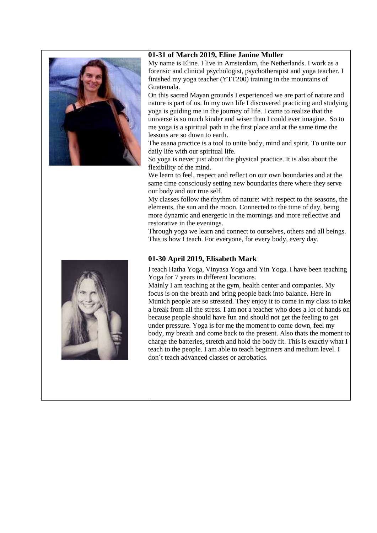

#### **01-31 of March 2019, Eline Janine Muller**

My name is Eline. I live in Amsterdam, the Netherlands. I work as a forensic and clinical psychologist, psychotherapist and yoga teacher. I finished my yoga teacher (YTT200) training in the mountains of Guatemala.

On this sacred Mayan grounds I experienced we are part of nature and nature is part of us. In my own life I discovered practicing and studying yoga is guiding me in the journey of life. I came to realize that the universe is so much kinder and wiser than I could ever imagine. So to me yoga is a spiritual path in the first place and at the same time the lessons are so down to earth.

The asana practice is a tool to unite body, mind and spirit. To unite our daily life with our spiritual life.

So yoga is never just about the physical practice. It is also about the flexibility of the mind.

We learn to feel, respect and reflect on our own boundaries and at the same time consciously setting new boundaries there where they serve our body and our true self.

My classes follow the rhythm of nature: with respect to the seasons, the elements, the sun and the moon. Connected to the time of day, being more dynamic and energetic in the mornings and more reflective and restorative in the evenings.

Through yoga we learn and connect to ourselves, others and all beings. This is how I teach. For everyone, for every body, every day.

## **01-30 April 2019, Elisabeth Mark**

I teach Hatha Yoga, Vinyasa Yoga and Yin Yoga. I have been teaching Yoga for 7 years in different locations.

Mainly I am teaching at the gym, health center and companies. My focus is on the breath and bring people back into balance. Here in Munich people are so stressed. They enjoy it to come in my class to take a break from all the stress. I am not a teacher who does a lot of hands on because people should have fun and should not get the feeling to get under pressure. Yoga is for me the moment to come down, feel my body, my breath and come back to the present. Also thats the moment to charge the batteries, stretch and hold the body fit. This is exactly what I teach to the people. I am able to teach beginners and medium level. I don´t teach advanced classes or acrobatics.

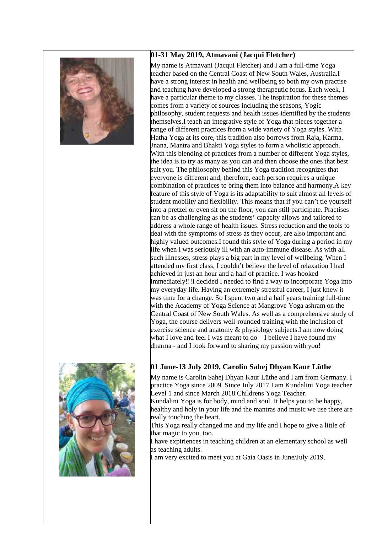



## **01-31 May 2019, Atmavani (Jacqui Fletcher)**

My name is Atmavani (Jacqui Fletcher) and I am a full-time Yoga teacher based on the Central Coast of New South Wales, Australia.I have a strong interest in health and wellbeing so both my own practise and teaching have developed a strong therapeutic focus. Each week, I have a particular theme to my classes. The inspiration for these themes comes from a variety of sources including the seasons, Yogic philosophy, student requests and health issues identified by the students themselves.I teach an integrative style of Yoga that pieces together a range of different practices from a wide variety of Yoga styles. With Hatha Yoga at its core, this tradition also borrows from Raja, Karma, Jnana, Mantra and Bhakti Yoga styles to form a wholistic approach. With this blending of practices from a number of different Yoga styles, the idea is to try as many as you can and then choose the ones that best suit you. The philosophy behind this Yoga tradition recognizes that everyone is different and, therefore, each person requires a unique combination of practices to bring them into balance and harmony.A key feature of this style of Yoga is its adaptability to suit almost all levels of student mobility and flexibility. This means that if you can't tie yourself into a pretzel or even sit on the floor, you can still participate. Practises can be as challenging as the students' capacity allows and tailored to address a whole range of health issues. Stress reduction and the tools to deal with the symptoms of stress as they occur, are also important and highly valued outcomes.I found this style of Yoga during a period in my life when I was seriously ill with an auto-immune disease. As with all such illnesses, stress plays a big part in my level of wellbeing. When I attended my first class, I couldn't believe the level of relaxation I had achieved in just an hour and a half of practice. I was hooked immediately!!!I decided I needed to find a way to incorporate Yoga into my everyday life. Having an extremely stressful career, I just knew it was time for a change. So I spent two and a half years training full-time with the Academy of Yoga Science at Mangrove Yoga ashram on the Central Coast of New South Wales. As well as a comprehensive study of Yoga, the course delivers well-rounded training with the inclusion of exercise science and anatomy & physiology subjects.I am now doing what I love and feel I was meant to do – I believe I have found my dharma - and I look forward to sharing my passion with you!

# **01 June-13 July 2019, Carolin Sahej Dhyan Kaur Lüthe**

My name is Carolin Sahej Dhyan Kaur Lüthe and I am from Germany. I practice Yoga since 2009. Since July 2017 I am Kundalini Yoga teacher Level 1 and since March 2018 Childrens Yoga Teacher. Kundalini Yoga is for body, mind and soul. It helps you to be happy,

healthy and holy in your life and the mantras and music we use there are really touching the heart.

This Yoga really changed me and my life and I hope to give a little of that magic to you, too.

I have expiriences in teaching children at an elementary school as well as teaching adults.

I am very excited to meet you at Gaia Oasis in June/July 2019.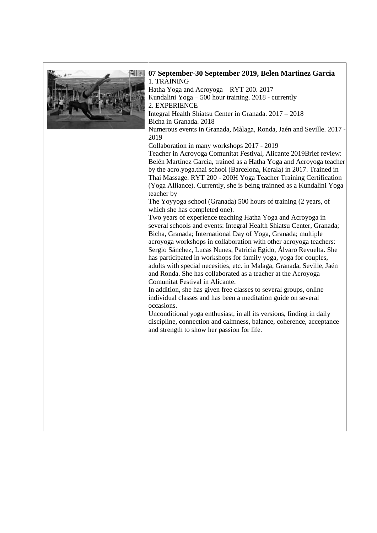

### **07 September-30 September 2019, Belen Martinez Garcia** 1. TRAINING

Hatha Yoga and Acroyoga – RYT 200. 2017 Kundalini Yoga – 500 hour training. 2018 - currently

2. EXPERIENCE

Integral Health Shiatsu Center in Granada. 2017 – 2018 Bicha in Granada. 2018

Numerous events in Granada, Màlaga, Ronda, Jaén and Seville. 2017 -

## 2019

Collaboration in many workshops 2017 - 2019

Teacher in Acroyoga Comunitat Festival, Alicante 2019Brief review: Belén Martínez García, trained as a Hatha Yoga and Acroyoga teacher by the acro.yoga.thai school (Barcelona, Kerala) in 2017. Trained in Thai Massage. RYT 200 - 200H Yoga Teacher Training Certification (Yoga Alliance). Currently, she is being trainned as a Kundalini Yoga teacher by

The Yoyyoga school (Granada) 500 hours of training (2 years, of which she has completed one).

Two years of experience teaching Hatha Yoga and Acroyoga in several schools and events: Integral Health Shiatsu Center, Granada; Bicha, Granada; International Day of Yoga, Granada; multiple acroyoga workshops in collaboration with other acroyoga teachers: Sergio Sánchez, Lucas Nunes, Patricia Egido, Álvaro Revuelta. She has participated in workshops for family yoga, yoga for couples, adults with special necesities, etc. in Malaga, Granada, Seville, Jaén and Ronda. She has collaborated as a teacher at the Acroyoga Comunitat Festival in Alicante.

In addition, she has given free classes to several groups, online individual classes and has been a meditation guide on several occasions.

Unconditional yoga enthusiast, in all its versions, finding in daily discipline, connection and calmness, balance, coherence, acceptance and strength to show her passion for life.